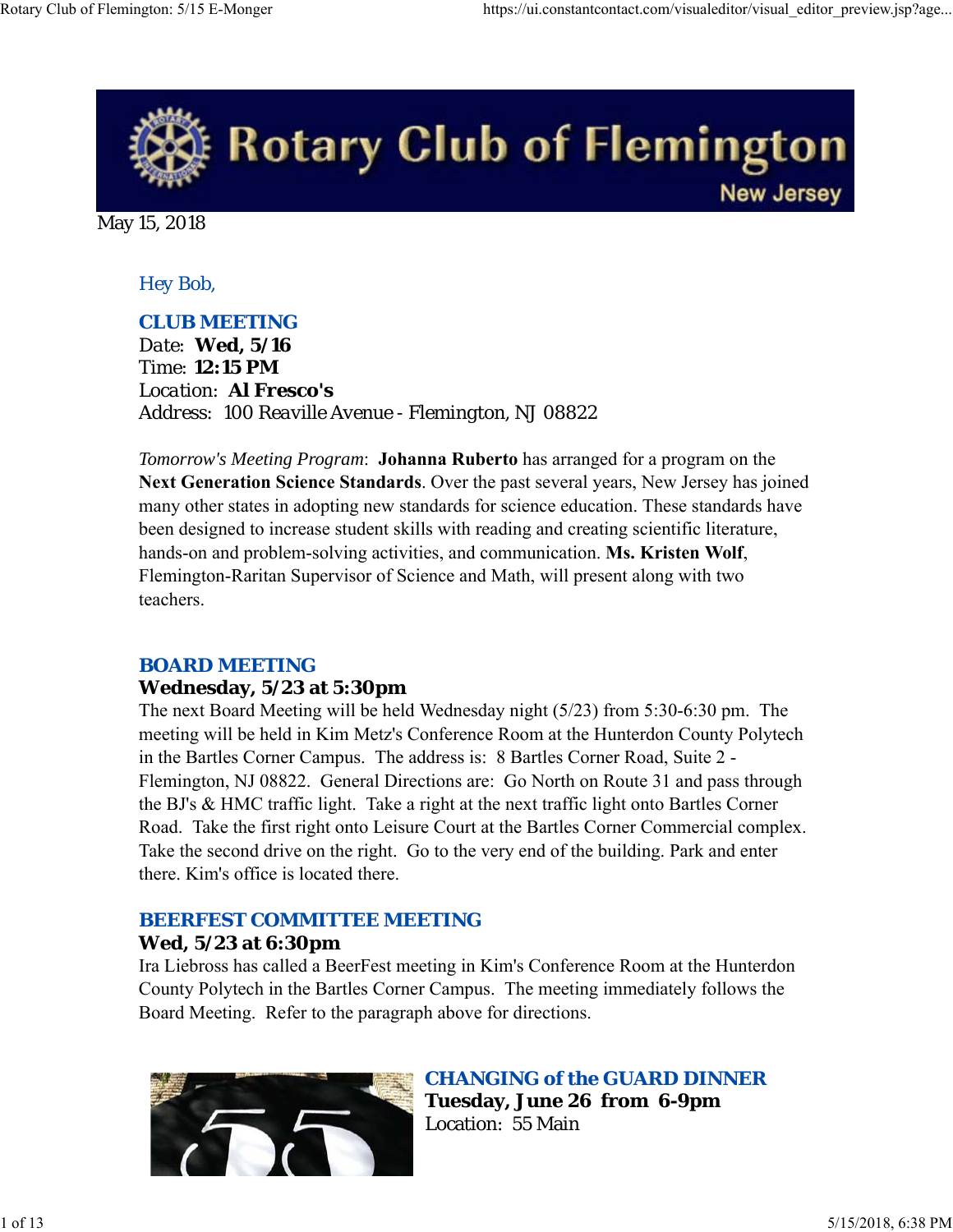

May 15, 2018

## *Hey Bob,*

### *CLUB MEETING*

*Date: Wed, 5/16 Time: 12:15 PM Location: Al Fresco's Address: 100 Reaville Avenue - Flemington, NJ 08822*

*Tomorrow's Meeting Program*: **Johanna Ruberto** has arranged for a program on the **Next Generation Science Standards**. Over the past several years, New Jersey has joined many other states in adopting new standards for science education. These standards have been designed to increase student skills with reading and creating scientific literature, hands-on and problem-solving activities, and communication. **Ms. Kristen Wolf**, Flemington-Raritan Supervisor of Science and Math, will present along with two teachers.

### *BOARD MEETING*

### **Wednesday, 5/23 at 5:30pm**

The next Board Meeting will be held Wednesday night (5/23) from 5:30-6:30 pm. The meeting will be held in Kim Metz's Conference Room at the Hunterdon County Polytech in the Bartles Corner Campus. The address is: 8 Bartles Corner Road, Suite 2 - Flemington, NJ 08822. General Directions are: Go North on Route 31 and pass through the BJ's & HMC traffic light. Take a right at the next traffic light onto Bartles Corner Road. Take the first right onto Leisure Court at the Bartles Corner Commercial complex. Take the second drive on the right. Go to the very end of the building. Park and enter there. Kim's office is located there.

# *BEERFEST COMMITTEE MEETING*

### **Wed, 5/23 at 6:30pm**

Ira Liebross has called a BeerFest meeting in Kim's Conference Room at the Hunterdon County Polytech in the Bartles Corner Campus. The meeting immediately follows the Board Meeting. Refer to the paragraph above for directions.



# *CHANGING of the GUARD DINNER*

**Tuesday, June 26 from 6-9pm** Location: 55 Main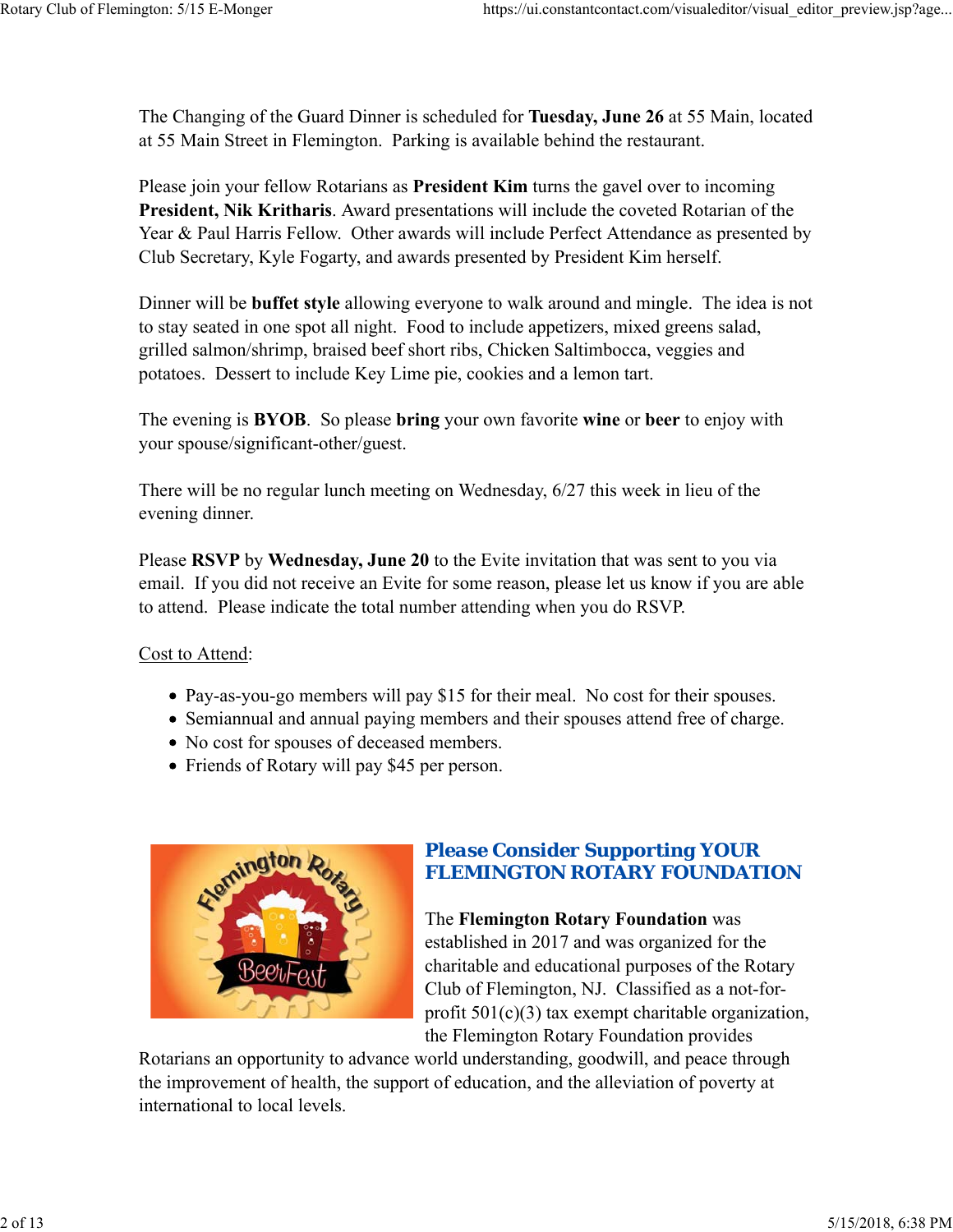The Changing of the Guard Dinner is scheduled for **Tuesday, June 26** at 55 Main, located at 55 Main Street in Flemington. Parking is available behind the restaurant.

Please join your fellow Rotarians as **President Kim** turns the gavel over to incoming **President, Nik Kritharis**. Award presentations will include the coveted Rotarian of the Year & Paul Harris Fellow. Other awards will include Perfect Attendance as presented by Club Secretary, Kyle Fogarty, and awards presented by President Kim herself.

Dinner will be **buffet style** allowing everyone to walk around and mingle. The idea is not to stay seated in one spot all night. Food to include appetizers, mixed greens salad, grilled salmon/shrimp, braised beef short ribs, Chicken Saltimbocca, veggies and potatoes. Dessert to include Key Lime pie, cookies and a lemon tart.

The evening is **BYOB**. So please **bring** your own favorite **wine** or **beer** to enjoy with your spouse/significant-other/guest.

There will be no regular lunch meeting on Wednesday, 6/27 this week in lieu of the evening dinner.

Please **RSVP** by **Wednesday, June 20** to the Evite invitation that was sent to you via email. If you did not receive an Evite for some reason, please let us know if you are able to attend. Please indicate the total number attending when you do RSVP.

Cost to Attend:

- Pay-as-you-go members will pay \$15 for their meal. No cost for their spouses.
- Semiannual and annual paying members and their spouses attend free of charge.
- No cost for spouses of deceased members.
- Friends of Rotary will pay \$45 per person.



## *Please Consider Supporting YOUR FLEMINGTON ROTARY FOUNDATION*

The **Flemington Rotary Foundation** was established in 2017 and was organized for the charitable and educational purposes of the Rotary Club of Flemington, NJ. Classified as a not-forprofit  $501(c)(3)$  tax exempt charitable organization, the Flemington Rotary Foundation provides

Rotarians an opportunity to advance world understanding, goodwill, and peace through the improvement of health, the support of education, and the alleviation of poverty at international to local levels.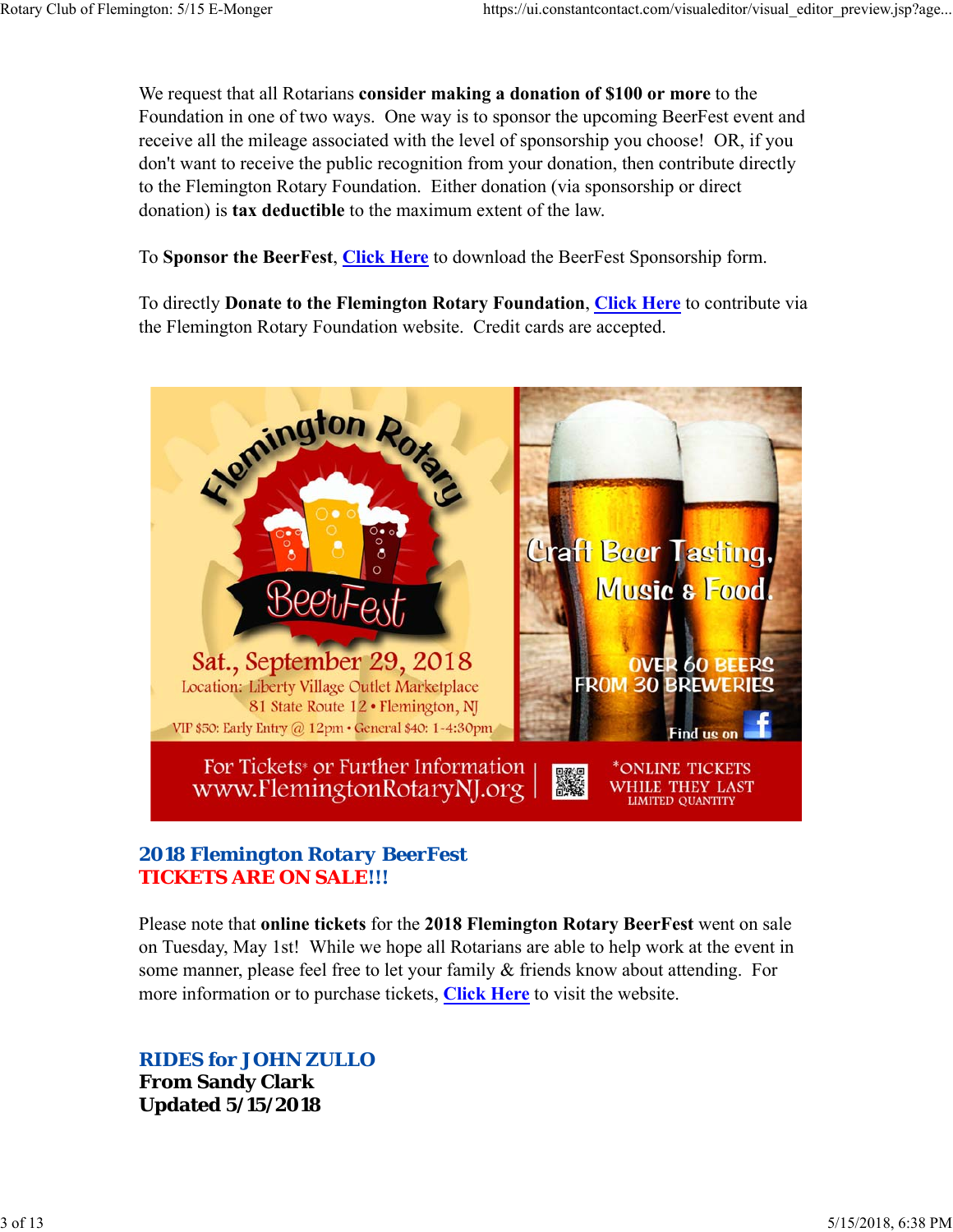We request that all Rotarians **consider making a donation of \$100 or more** to the Foundation in one of two ways. One way is to sponsor the upcoming BeerFest event and receive all the mileage associated with the level of sponsorship you choose! OR, if you don't want to receive the public recognition from your donation, then contribute directly to the Flemington Rotary Foundation. Either donation (via sponsorship or direct donation) is **tax deductible** to the maximum extent of the law.

To **Sponsor the BeerFest**, **Click Here** to download the BeerFest Sponsorship form.

To directly **Donate to the Flemington Rotary Foundation**, **Click Here** to contribute via the Flemington Rotary Foundation website. Credit cards are accepted.



# *2018 Flemington Rotary BeerFest TICKETS ARE ON SALE!!!*

Please note that **online tickets** for the **2018 Flemington Rotary BeerFest** went on sale on Tuesday, May 1st! While we hope all Rotarians are able to help work at the event in some manner, please feel free to let your family & friends know about attending. For more information or to purchase tickets, **Click Here** to visit the website.

# *RIDES for JOHN ZULLO*

**From Sandy Clark Updated 5/15/2018**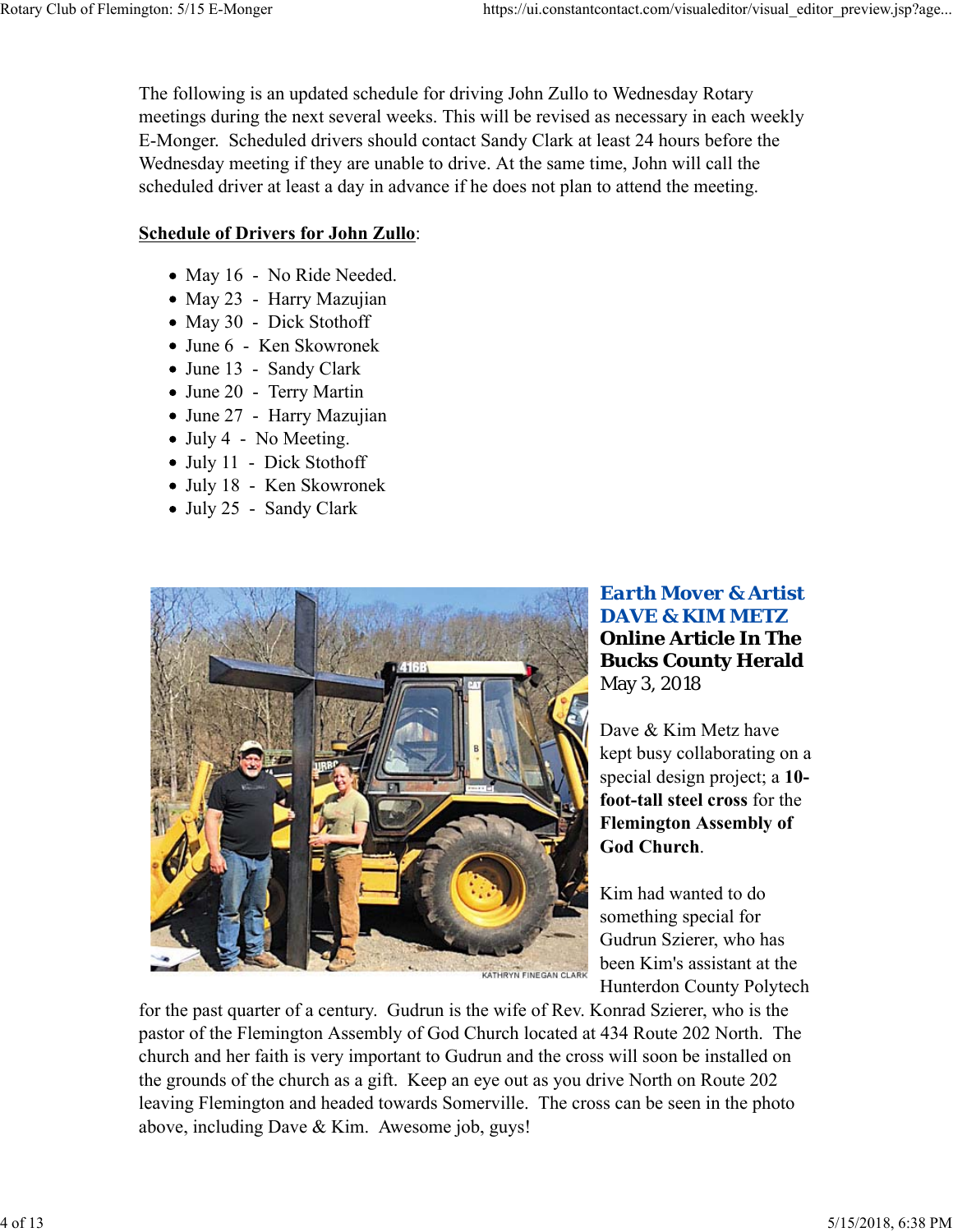The following is an updated schedule for driving John Zullo to Wednesday Rotary meetings during the next several weeks. This will be revised as necessary in each weekly E-Monger. Scheduled drivers should contact Sandy Clark at least 24 hours before the Wednesday meeting if they are unable to drive. At the same time, John will call the scheduled driver at least a day in advance if he does not plan to attend the meeting.

#### **Schedule of Drivers for John Zullo**:

- May 16 No Ride Needed.
- May 23 Harry Mazujian
- May 30 Dick Stothoff
- June 6 Ken Skowronek
- June 13 Sandy Clark
- June 20 Terry Martin
- June 27 Harry Mazujian
- July 4 No Meeting.
- July 11 Dick Stothoff
- July 18 Ken Skowronek
- July 25 Sandy Clark



*Earth Mover & Artist DAVE & KIM METZ* **Online Article In The Bucks County Herald** May 3, 2018

Dave & Kim Metz have kept busy collaborating on a special design project; a **10 foot-tall steel cross** for the **Flemington Assembly of God Church**.

Kim had wanted to do something special for Gudrun Szierer, who has been Kim's assistant at the Hunterdon County Polytech

for the past quarter of a century. Gudrun is the wife of Rev. Konrad Szierer, who is the pastor of the Flemington Assembly of God Church located at 434 Route 202 North. The church and her faith is very important to Gudrun and the cross will soon be installed on the grounds of the church as a gift. Keep an eye out as you drive North on Route 202 leaving Flemington and headed towards Somerville. The cross can be seen in the photo above, including Dave & Kim. Awesome job, guys!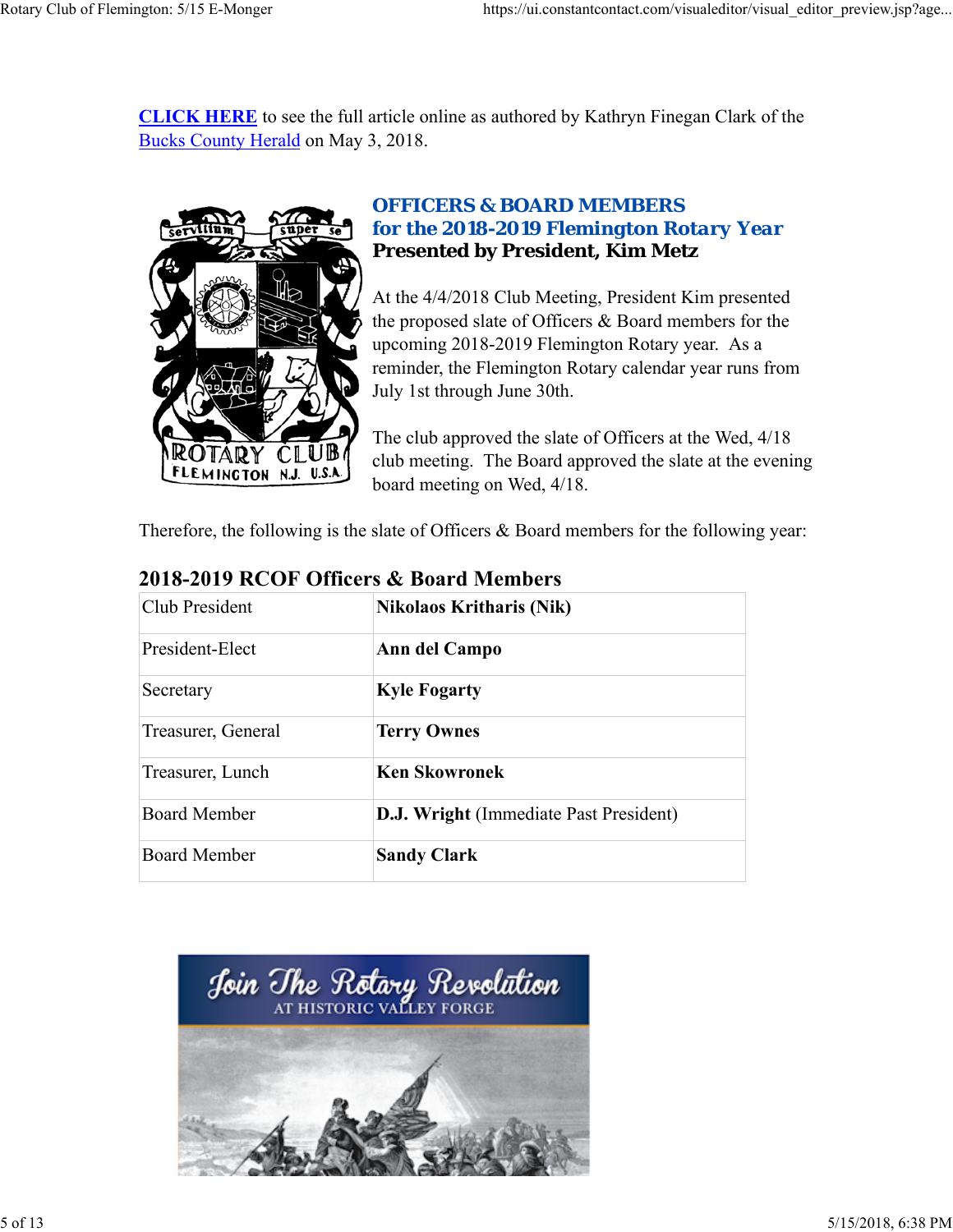**CLICK HERE** to see the full article online as authored by Kathryn Finegan Clark of the Bucks County Herald on May 3, 2018.



# *OFFICERS & BOARD MEMBERS for the 2018-2019 Flemington Rotary Year* **Presented by President, Kim Metz**

At the 4/4/2018 Club Meeting, President Kim presented the proposed slate of Officers & Board members for the upcoming 2018-2019 Flemington Rotary year. As a reminder, the Flemington Rotary calendar year runs from July 1st through June 30th.

The club approved the slate of Officers at the Wed, 4/18 club meeting. The Board approved the slate at the evening board meeting on Wed, 4/18.

Therefore, the following is the slate of Officers & Board members for the following year:

| Club President      | <b>Nikolaos Kritharis (Nik)</b>               |
|---------------------|-----------------------------------------------|
| President-Elect     | Ann del Campo                                 |
| Secretary           | <b>Kyle Fogarty</b>                           |
| Treasurer, General  | <b>Terry Ownes</b>                            |
| Treasurer, Lunch    | <b>Ken Skowronek</b>                          |
| <b>Board Member</b> | <b>D.J. Wright (Immediate Past President)</b> |
| <b>Board Member</b> | <b>Sandy Clark</b>                            |

# **2018-2019 RCOF Officers & Board Members**

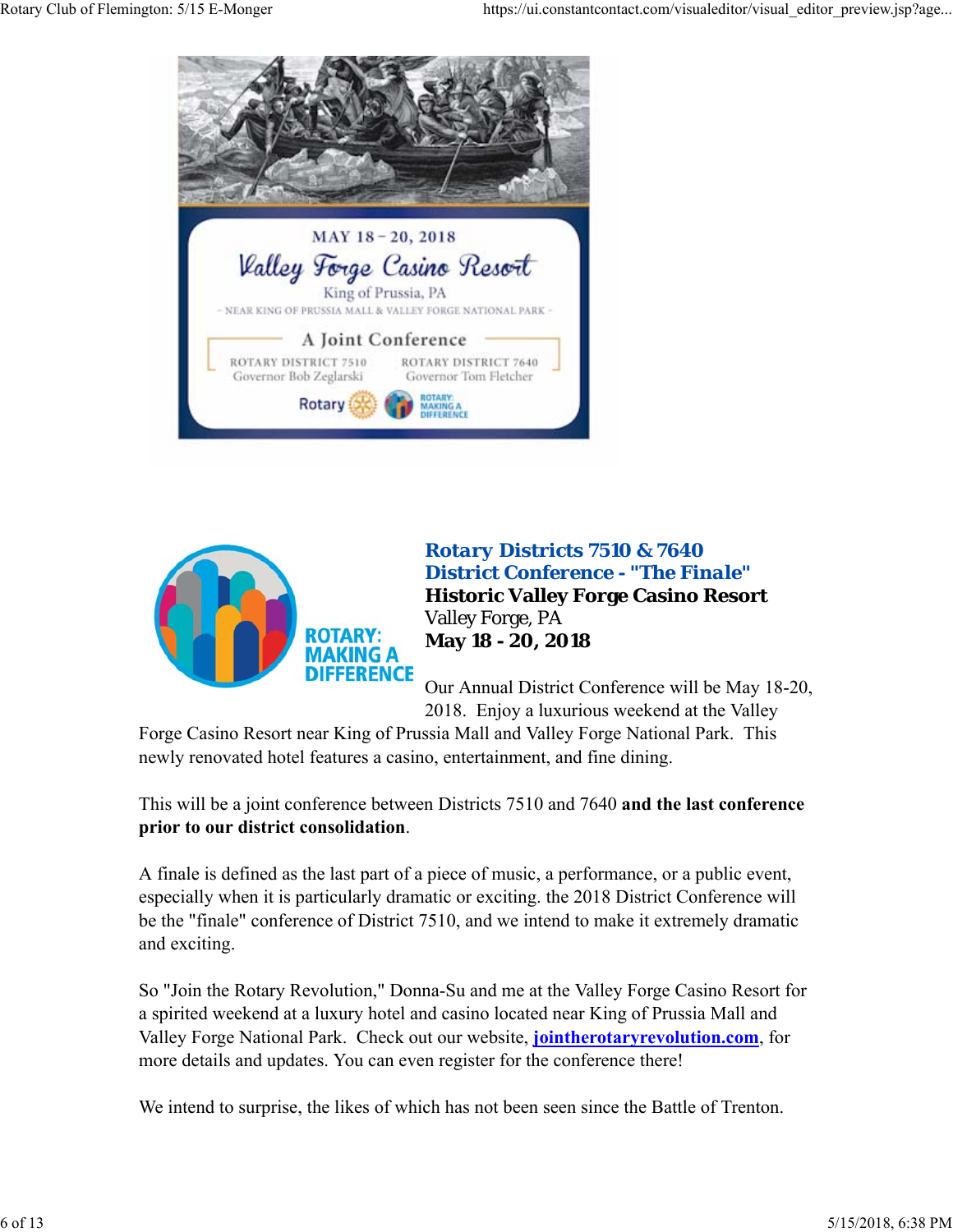



*Rotary Districts 7510 & 7640 District Conference - "The Finale"* **Historic Valley Forge Casino Resort** Valley Forge, PA **May 18 - 20, 2018**

Our Annual District Conference will be May 18-20, 2018. Enjoy a luxurious weekend at the Valley

Forge Casino Resort near King of Prussia Mall and Valley Forge National Park. This newly renovated hotel features a casino, entertainment, and fine dining.

This will be a joint conference between Districts 7510 and 7640 **and the last conference prior to our district consolidation**.

A finale is defined as the last part of a piece of music, a performance, or a public event, especially when it is particularly dramatic or exciting. the 2018 District Conference will be the "finale" conference of District 7510, and we intend to make it extremely dramatic and exciting.

So "Join the Rotary Revolution," Donna-Su and me at the Valley Forge Casino Resort for a spirited weekend at a luxury hotel and casino located near King of Prussia Mall and Valley Forge National Park. Check out our website, **jointherotaryrevolution.com**, for more details and updates. You can even register for the conference there!

We intend to surprise, the likes of which has not been seen since the Battle of Trenton.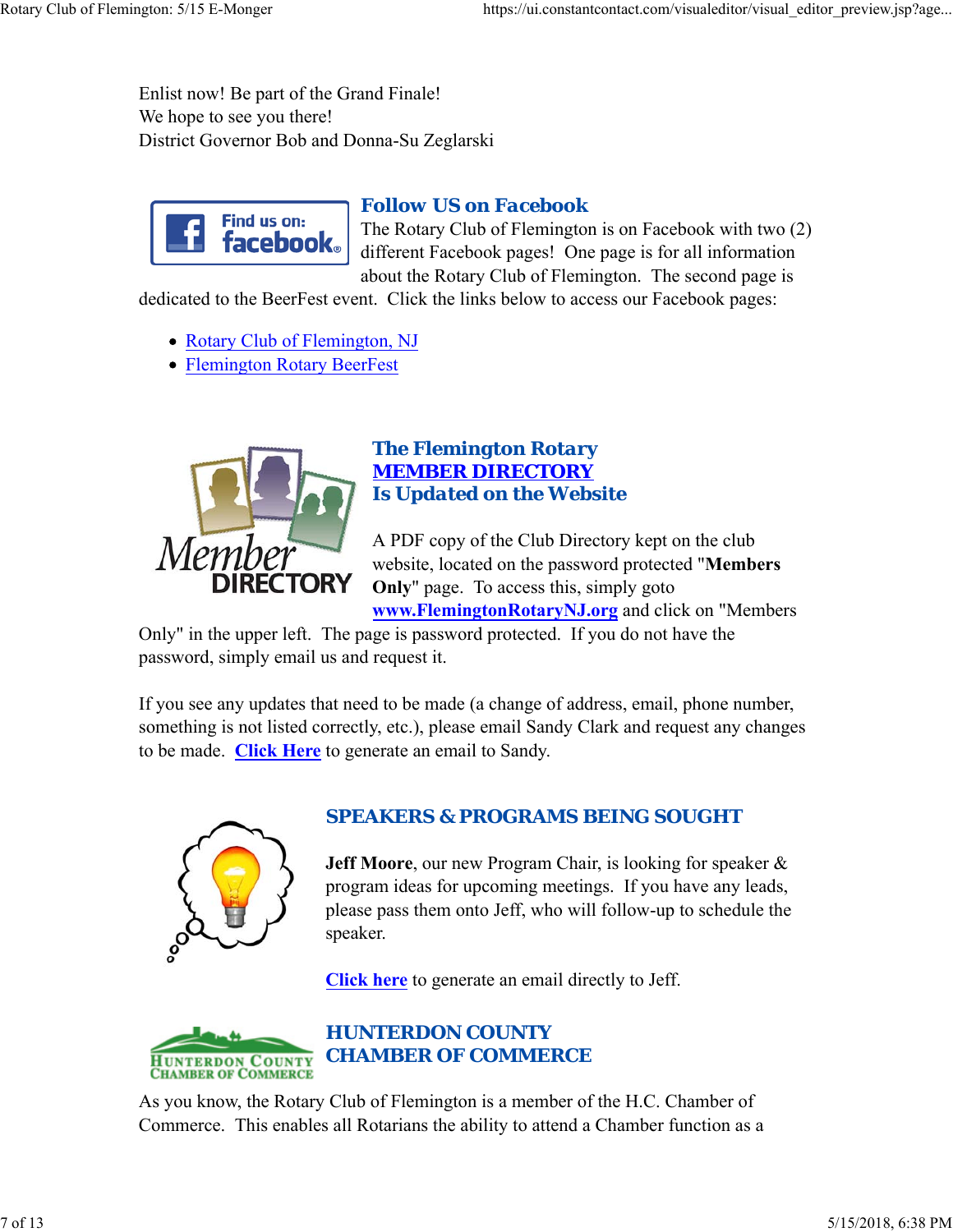Enlist now! Be part of the Grand Finale! We hope to see you there! District Governor Bob and Donna-Su Zeglarski



## *Follow US on Facebook*

The Rotary Club of Flemington is on Facebook with two (2) different Facebook pages! One page is for all information about the Rotary Club of Flemington. The second page is

dedicated to the BeerFest event. Click the links below to access our Facebook pages:

- Rotary Club of Flemington, NJ
- Flemington Rotary BeerFest



## *The Flemington Rotary MEMBER DIRECTORY Is Updated on the Website*

A PDF copy of the Club Directory kept on the club website, located on the password protected "**Members Only**" page. To access this, simply goto **www.FlemingtonRotaryNJ.org** and click on "Members

Only" in the upper left. The page is password protected. If you do not have the password, simply email us and request it.

If you see any updates that need to be made (a change of address, email, phone number, something is not listed correctly, etc.), please email Sandy Clark and request any changes to be made. **Click Here** to generate an email to Sandy.



# *SPEAKERS & PROGRAMS BEING SOUGHT*

**Jeff Moore**, our new Program Chair, is looking for speaker & program ideas for upcoming meetings. If you have any leads, please pass them onto Jeff, who will follow-up to schedule the speaker.

**Click here** to generate an email directly to Jeff.



# *HUNTERDON COUNTY CHAMBER OF COMMERCE*

As you know, the Rotary Club of Flemington is a member of the H.C. Chamber of Commerce. This enables all Rotarians the ability to attend a Chamber function as a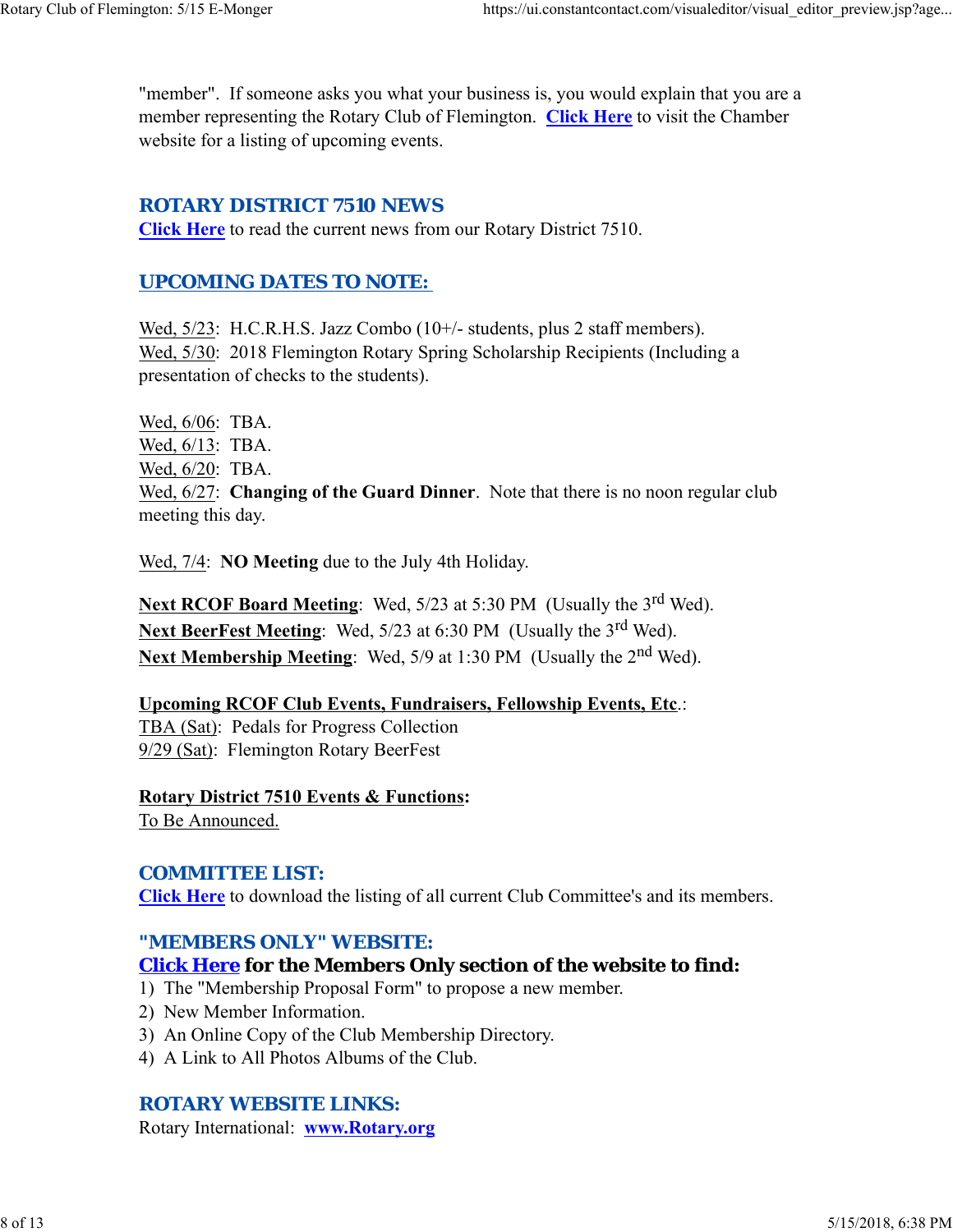"member". If someone asks you what your business is, you would explain that you are a member representing the Rotary Club of Flemington. **Click Here** to visit the Chamber website for a listing of upcoming events.

#### *ROTARY DISTRICT 7510 NEWS*

**Click Here** to read the current news from our Rotary District 7510.

### *UPCOMING DATES TO NOTE:*

Wed, 5/23: H.C.R.H.S. Jazz Combo (10+/- students, plus 2 staff members). Wed, 5/30: 2018 Flemington Rotary Spring Scholarship Recipients (Including a presentation of checks to the students).

Wed, 6/06: TBA. Wed, 6/13: TBA. Wed, 6/20: TBA. Wed, 6/27: **Changing of the Guard Dinner**. Note that there is no noon regular club meeting this day.

Wed, 7/4: **NO Meeting** due to the July 4th Holiday.

**Next RCOF Board Meeting:** Wed, 5/23 at 5:30 PM (Usually the 3<sup>rd</sup> Wed). Next BeerFest Meeting: Wed, 5/23 at 6:30 PM (Usually the 3<sup>rd</sup> Wed). **Next Membership Meeting:** Wed, 5/9 at 1:30 PM (Usually the 2<sup>nd</sup> Wed).

**Upcoming RCOF Club Events, Fundraisers, Fellowship Events, Etc**.: TBA (Sat): Pedals for Progress Collection 9/29 (Sat): Flemington Rotary BeerFest

**Rotary District 7510 Events & Functions:** To Be Announced.

### *COMMITTEE LIST:*

**Click Here** to download the listing of all current Club Committee's and its members.

### *"MEMBERS ONLY" WEBSITE:*

### **Click Here for the Members Only section of the website to find:**

- 1) The "Membership Proposal Form" to propose a new member.
- 2) New Member Information.
- 3) An Online Copy of the Club Membership Directory.
- 4) A Link to All Photos Albums of the Club.

### *ROTARY WEBSITE LINKS:*

Rotary International: **www.Rotary.org**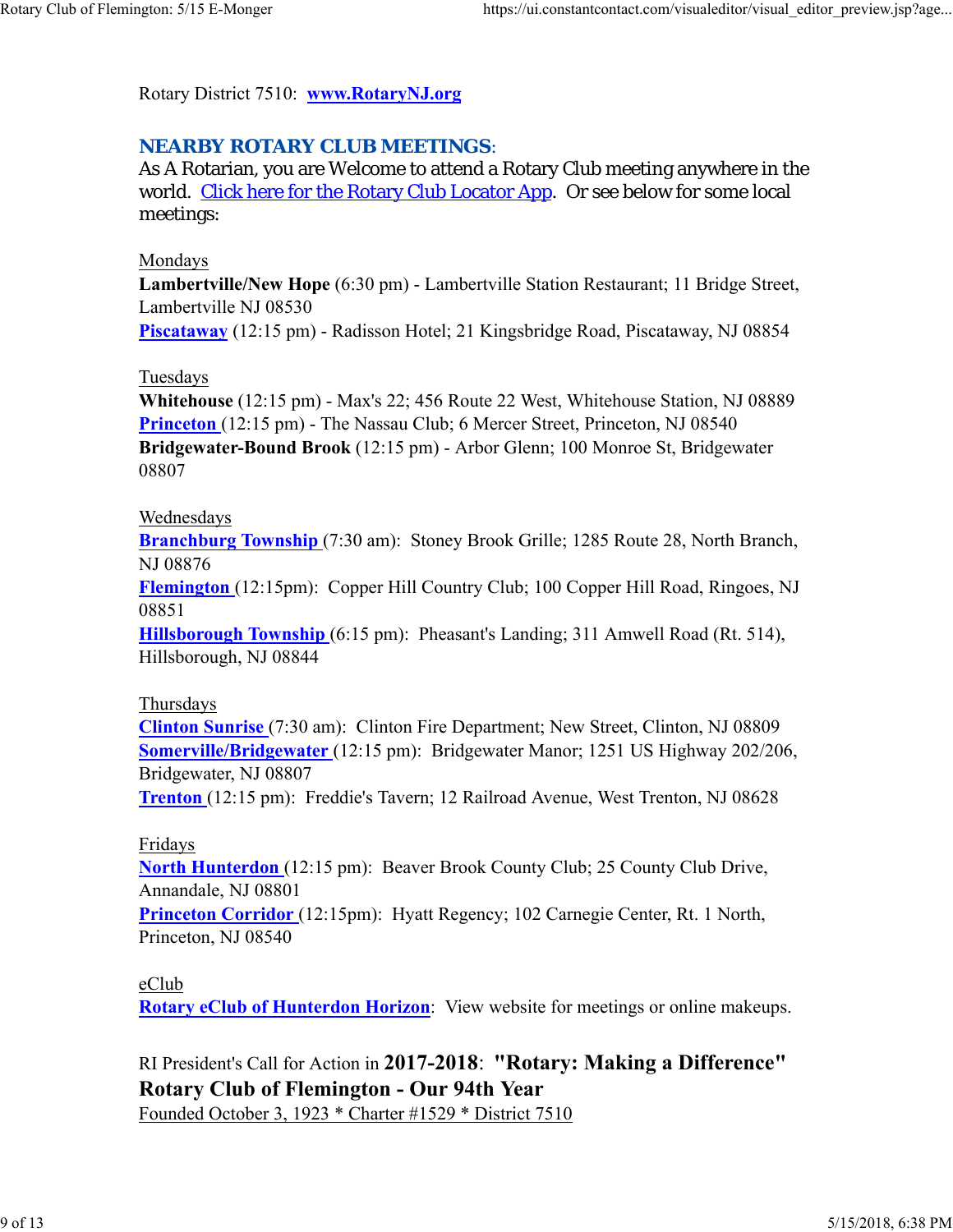Rotary District 7510: **www.RotaryNJ.org**

## *NEARBY ROTARY CLUB MEETINGS:*

As A Rotarian, you are Welcome to attend a Rotary Club meeting anywhere in the world. Click here for the Rotary Club Locator App. Or see below for some local meetings:

#### Mondays

**Lambertville/New Hope** (6:30 pm) - Lambertville Station Restaurant; 11 Bridge Street, Lambertville NJ 08530

**Piscataway** (12:15 pm) - Radisson Hotel; 21 Kingsbridge Road, Piscataway, NJ 08854

#### Tuesdays

**Whitehouse** (12:15 pm) - Max's 22; 456 Route 22 West, Whitehouse Station, NJ 08889 **Princeton** (12:15 pm) - The Nassau Club; 6 Mercer Street, Princeton, NJ 08540 **Bridgewater-Bound Brook** (12:15 pm) - Arbor Glenn; 100 Monroe St, Bridgewater 08807

#### Wednesdays

**Branchburg Township** (7:30 am): Stoney Brook Grille; 1285 Route 28, North Branch, NJ 08876

**Flemington** (12:15pm): Copper Hill Country Club; 100 Copper Hill Road, Ringoes, NJ 08851

**Hillsborough Township** (6:15 pm): Pheasant's Landing; 311 Amwell Road (Rt. 514), Hillsborough, NJ 08844

#### Thursdays

**Clinton Sunrise** (7:30 am): Clinton Fire Department; New Street, Clinton, NJ 08809 **Somerville/Bridgewater** (12:15 pm): Bridgewater Manor; 1251 US Highway 202/206, Bridgewater, NJ 08807

**Trenton** (12:15 pm): Freddie's Tavern; 12 Railroad Avenue, West Trenton, NJ 08628

#### Fridays

**North Hunterdon** (12:15 pm): Beaver Brook County Club; 25 County Club Drive, Annandale, NJ 08801

**Princeton Corridor** (12:15pm): Hyatt Regency; 102 Carnegie Center, Rt. 1 North, Princeton, NJ 08540

#### eClub

**Rotary eClub of Hunterdon Horizon**: View website for meetings or online makeups.

RI President's Call for Action in **2017-2018**: **"Rotary: Making a Difference" Rotary Club of Flemington - Our 94th Year**

Founded October 3, 1923 \* Charter #1529 \* District 7510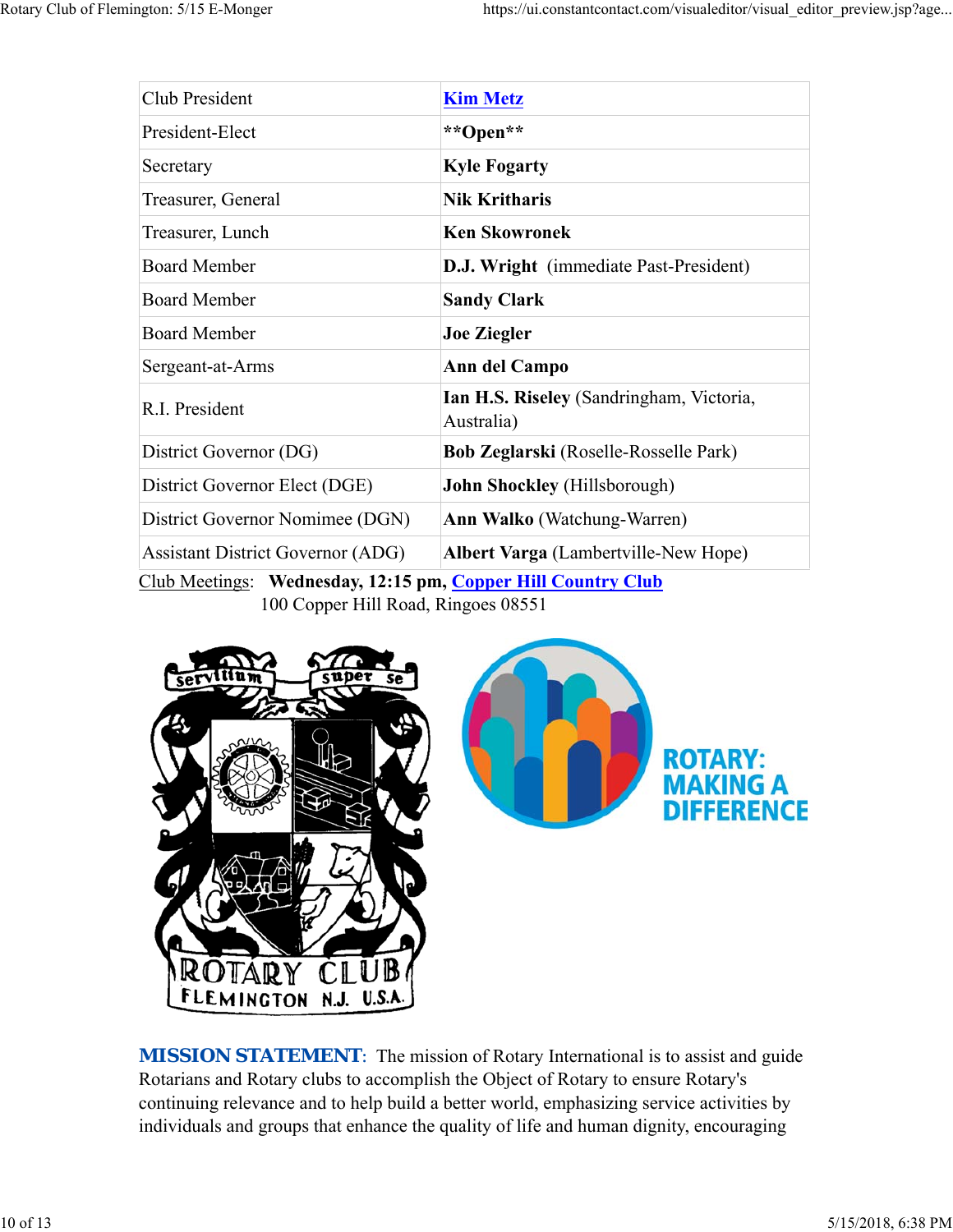| Club President                           | <b>Kim Metz</b>                                        |  |  |
|------------------------------------------|--------------------------------------------------------|--|--|
| President-Elect                          | **Open**                                               |  |  |
| Secretary                                | <b>Kyle Fogarty</b>                                    |  |  |
| Treasurer, General                       | <b>Nik Kritharis</b>                                   |  |  |
| Treasurer, Lunch                         | <b>Ken Skowronek</b>                                   |  |  |
| <b>Board Member</b>                      | D.J. Wright (immediate Past-President)                 |  |  |
| <b>Board Member</b>                      | <b>Sandy Clark</b>                                     |  |  |
| <b>Board Member</b>                      | <b>Joe Ziegler</b>                                     |  |  |
| Sergeant-at-Arms                         | Ann del Campo                                          |  |  |
| R.I. President                           | Ian H.S. Riseley (Sandringham, Victoria,<br>Australia) |  |  |
| District Governor (DG)                   | <b>Bob Zeglarski</b> (Roselle-Rosselle Park)           |  |  |
| District Governor Elect (DGE)            | <b>John Shockley</b> (Hillsborough)                    |  |  |
| District Governor Nomimee (DGN)          | <b>Ann Walko</b> (Watchung-Warren)                     |  |  |
| <b>Assistant District Governor (ADG)</b> | <b>Albert Varga</b> (Lambertville-New Hope)            |  |  |
|                                          |                                                        |  |  |

Club Meetings: **Wednesday, 12:15 pm, Copper Hill Country Club** 100 Copper Hill Road, Ringoes 08551



*MISSION STATEMENT*: The mission of Rotary International is to assist and guide Rotarians and Rotary clubs to accomplish the Object of Rotary to ensure Rotary's continuing relevance and to help build a better world, emphasizing service activities by individuals and groups that enhance the quality of life and human dignity, encouraging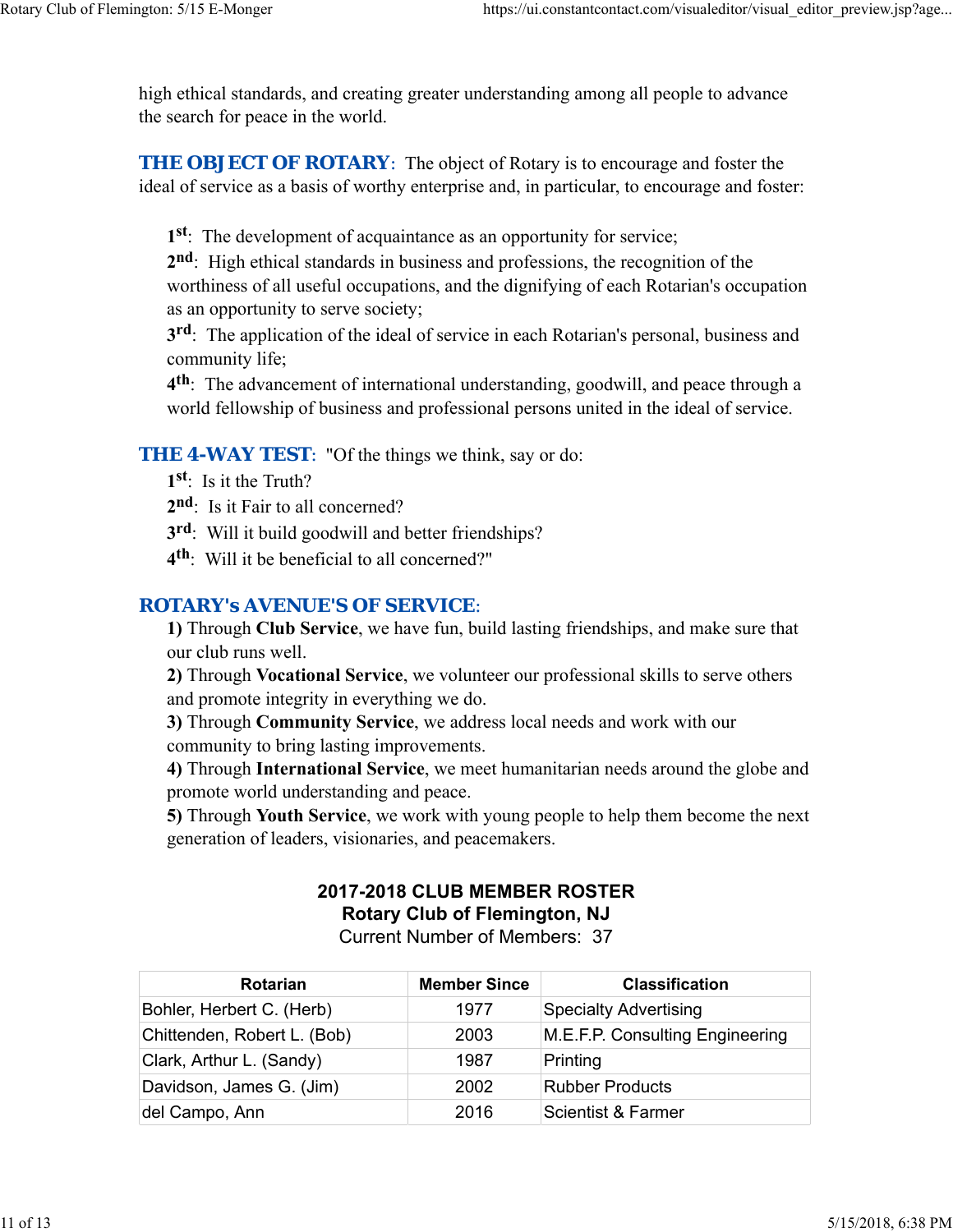high ethical standards, and creating greater understanding among all people to advance the search for peace in the world.

**THE OBJECT OF ROTARY:** The object of Rotary is to encourage and foster the ideal of service as a basis of worthy enterprise and, in particular, to encourage and foster:

**1st**: The development of acquaintance as an opportunity for service;

**2nd**: High ethical standards in business and professions, the recognition of the worthiness of all useful occupations, and the dignifying of each Rotarian's occupation as an opportunity to serve society;

**3rd**: The application of the ideal of service in each Rotarian's personal, business and community life;

**4th**: The advancement of international understanding, goodwill, and peace through a world fellowship of business and professional persons united in the ideal of service.

#### **THE 4-WAY TEST:** "Of the things we think, say or do:

- **1st**: Is it the Truth?
- 2<sup>nd</sup>: Is it Fair to all concerned?
- **3rd**: Will it build goodwill and better friendships?
- **4th**: Will it be beneficial to all concerned?"

#### *ROTARY's AVENUE'S OF SERVICE*:

**1)** Through **Club Service**, we have fun, build lasting friendships, and make sure that our club runs well.

**2)** Through **Vocational Service**, we volunteer our professional skills to serve others and promote integrity in everything we do.

**3)** Through **Community Service**, we address local needs and work with our community to bring lasting improvements.

**4)** Through **International Service**, we meet humanitarian needs around the globe and promote world understanding and peace.

**5)** Through **Youth Service**, we work with young people to help them become the next generation of leaders, visionaries, and peacemakers.

# **2017-2018 CLUB MEMBER ROSTER Rotary Club of Flemington, NJ**

Current Number of Members: 37

| Rotarian                    | <b>Member Since</b> | <b>Classification</b>           |
|-----------------------------|---------------------|---------------------------------|
| Bohler, Herbert C. (Herb)   | 1977                | <b>Specialty Advertising</b>    |
| Chittenden, Robert L. (Bob) | 2003                | M.E.F.P. Consulting Engineering |
| Clark, Arthur L. (Sandy)    | 1987                | Printing                        |
| Davidson, James G. (Jim)    | 2002                | <b>Rubber Products</b>          |
| del Campo, Ann              | 2016                | Scientist & Farmer              |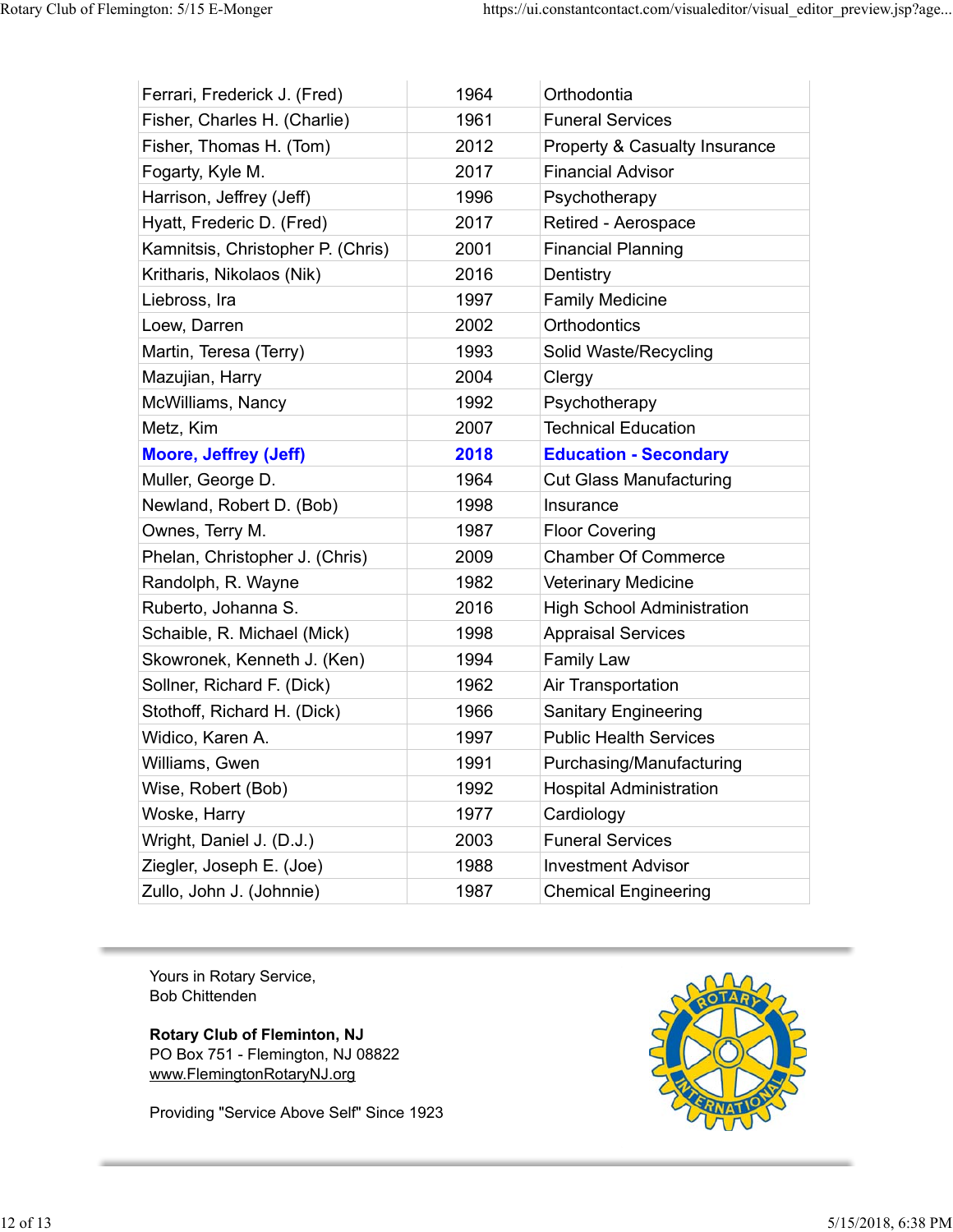| Ferrari, Frederick J. (Fred)      | 1964 | Orthodontia                              |
|-----------------------------------|------|------------------------------------------|
| Fisher, Charles H. (Charlie)      | 1961 | <b>Funeral Services</b>                  |
| Fisher, Thomas H. (Tom)           | 2012 | <b>Property &amp; Casualty Insurance</b> |
| Fogarty, Kyle M.                  | 2017 | <b>Financial Advisor</b>                 |
| Harrison, Jeffrey (Jeff)          | 1996 | Psychotherapy                            |
| Hyatt, Frederic D. (Fred)         | 2017 | Retired - Aerospace                      |
| Kamnitsis, Christopher P. (Chris) | 2001 | <b>Financial Planning</b>                |
| Kritharis, Nikolaos (Nik)         | 2016 | Dentistry                                |
| Liebross, Ira                     | 1997 | <b>Family Medicine</b>                   |
| Loew, Darren                      | 2002 | Orthodontics                             |
| Martin, Teresa (Terry)            | 1993 | Solid Waste/Recycling                    |
| Mazujian, Harry                   | 2004 | Clergy                                   |
| McWilliams, Nancy                 | 1992 | Psychotherapy                            |
| Metz, Kim                         | 2007 | <b>Technical Education</b>               |
| <b>Moore, Jeffrey (Jeff)</b>      | 2018 | <b>Education - Secondary</b>             |
| Muller, George D.                 | 1964 | <b>Cut Glass Manufacturing</b>           |
| Newland, Robert D. (Bob)          | 1998 | Insurance                                |
| Ownes, Terry M.                   | 1987 | <b>Floor Covering</b>                    |
| Phelan, Christopher J. (Chris)    | 2009 | <b>Chamber Of Commerce</b>               |
| Randolph, R. Wayne                | 1982 | <b>Veterinary Medicine</b>               |
| Ruberto, Johanna S.               | 2016 | <b>High School Administration</b>        |
| Schaible, R. Michael (Mick)       | 1998 | <b>Appraisal Services</b>                |
| Skowronek, Kenneth J. (Ken)       | 1994 | <b>Family Law</b>                        |
| Sollner, Richard F. (Dick)        | 1962 | Air Transportation                       |
| Stothoff, Richard H. (Dick)       | 1966 | <b>Sanitary Engineering</b>              |
| Widico, Karen A.                  | 1997 | <b>Public Health Services</b>            |
| Williams, Gwen                    | 1991 | Purchasing/Manufacturing                 |
| Wise, Robert (Bob)                | 1992 | <b>Hospital Administration</b>           |
| Woske, Harry                      | 1977 | Cardiology                               |
| Wright, Daniel J. (D.J.)          | 2003 | <b>Funeral Services</b>                  |
| Ziegler, Joseph E. (Joe)          | 1988 | <b>Investment Advisor</b>                |
| Zullo, John J. (Johnnie)          | 1987 | <b>Chemical Engineering</b>              |

Yours in Rotary Service, Bob Chittenden

**Rotary Club of Fleminton, NJ** PO Box 751 - Flemington, NJ 08822 www.FlemingtonRotaryNJ.org

Providing "Service Above Self" Since 1923